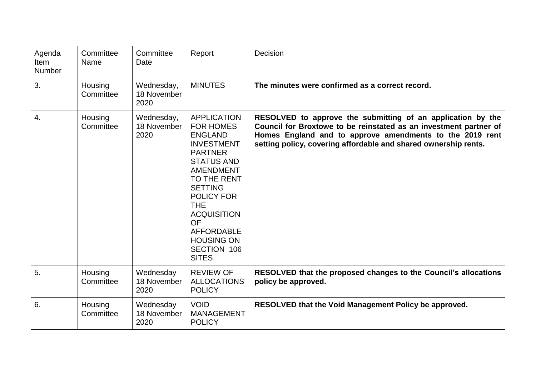| Agenda<br>Item<br><b>Number</b> | Committee<br>Name    | Committee<br>Date                 | Report                                                                                                                                                                                                                                                                                                                   | Decision                                                                                                                                                                                                                                                        |
|---------------------------------|----------------------|-----------------------------------|--------------------------------------------------------------------------------------------------------------------------------------------------------------------------------------------------------------------------------------------------------------------------------------------------------------------------|-----------------------------------------------------------------------------------------------------------------------------------------------------------------------------------------------------------------------------------------------------------------|
| 3.                              | Housing<br>Committee | Wednesday,<br>18 November<br>2020 | <b>MINUTES</b>                                                                                                                                                                                                                                                                                                           | The minutes were confirmed as a correct record.                                                                                                                                                                                                                 |
| 4.                              | Housing<br>Committee | Wednesday,<br>18 November<br>2020 | <b>APPLICATION</b><br><b>FOR HOMES</b><br><b>ENGLAND</b><br><b>INVESTMENT</b><br><b>PARTNER</b><br><b>STATUS AND</b><br><b>AMENDMENT</b><br>TO THE RENT<br><b>SETTING</b><br><b>POLICY FOR</b><br><b>THE</b><br><b>ACQUISITION</b><br><b>OF</b><br><b>AFFORDABLE</b><br><b>HOUSING ON</b><br>SECTION 106<br><b>SITES</b> | RESOLVED to approve the submitting of an application by the<br>Council for Broxtowe to be reinstated as an investment partner of<br>Homes England and to approve amendments to the 2019 rent<br>setting policy, covering affordable and shared ownership rents. |
| 5.                              | Housing<br>Committee | Wednesday<br>18 November<br>2020  | <b>REVIEW OF</b><br><b>ALLOCATIONS</b><br><b>POLICY</b>                                                                                                                                                                                                                                                                  | RESOLVED that the proposed changes to the Council's allocations<br>policy be approved.                                                                                                                                                                          |
| 6.                              | Housing<br>Committee | Wednesday<br>18 November<br>2020  | <b>VOID</b><br><b>MANAGEMENT</b><br><b>POLICY</b>                                                                                                                                                                                                                                                                        | RESOLVED that the Void Management Policy be approved.                                                                                                                                                                                                           |